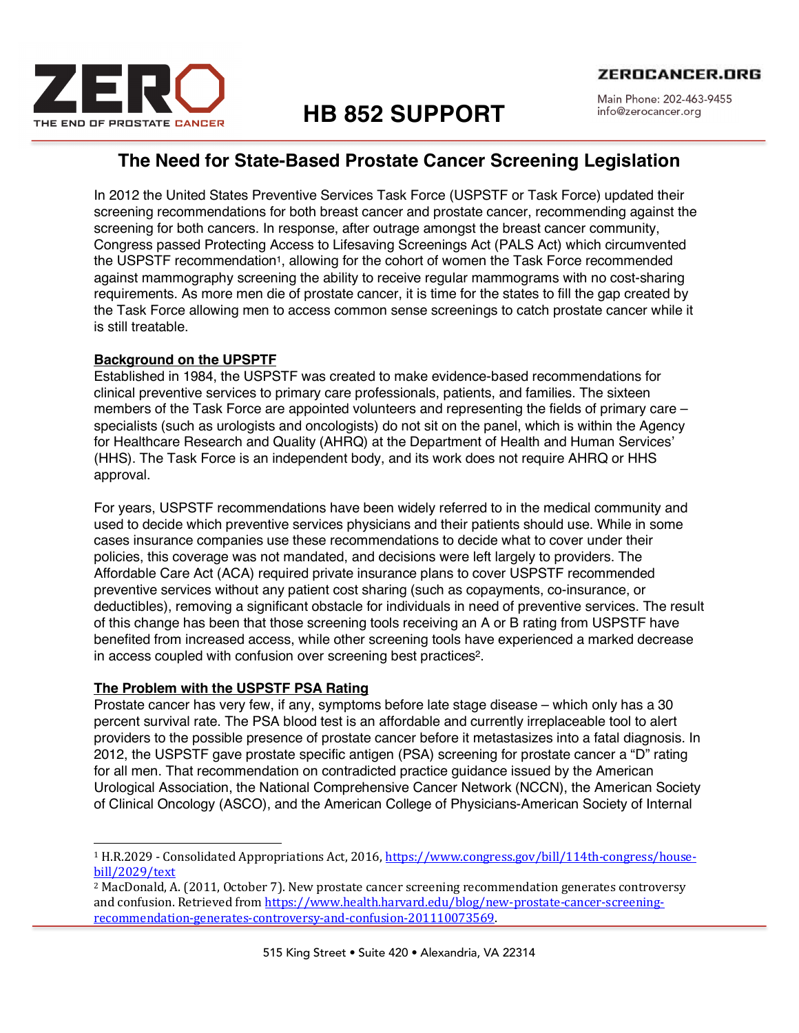

# **HB 852 SUPPORT**

Main Phone: 202-463-9455 info@zerocancer.org

## **The Need for State-Based Prostate Cancer Screening Legislation**

In 2012 the United States Preventive Services Task Force (USPSTF or Task Force) updated their screening recommendations for both breast cancer and prostate cancer, recommending against the screening for both cancers. In response, after outrage amongst the breast cancer community, Congress passed Protecting Access to Lifesaving Screenings Act (PALS Act) which circumvented the USPSTF recommendation1, allowing for the cohort of women the Task Force recommended against mammography screening the ability to receive regular mammograms with no cost-sharing requirements. As more men die of prostate cancer, it is time for the states to fill the gap created by the Task Force allowing men to access common sense screenings to catch prostate cancer while it is still treatable.

### **Background on the UPSPTF**

Established in 1984, the USPSTF was created to make evidence-based recommendations for clinical preventive services to primary care professionals, patients, and families. The sixteen members of the Task Force are appointed volunteers and representing the fields of primary care – specialists (such as urologists and oncologists) do not sit on the panel, which is within the Agency for Healthcare Research and Quality (AHRQ) at the Department of Health and Human Services' (HHS). The Task Force is an independent body, and its work does not require AHRQ or HHS approval.

For years, USPSTF recommendations have been widely referred to in the medical community and used to decide which preventive services physicians and their patients should use. While in some cases insurance companies use these recommendations to decide what to cover under their policies, this coverage was not mandated, and decisions were left largely to providers. The Affordable Care Act (ACA) required private insurance plans to cover USPSTF recommended preventive services without any patient cost sharing (such as copayments, co-insurance, or deductibles), removing a significant obstacle for individuals in need of preventive services. The result of this change has been that those screening tools receiving an A or B rating from USPSTF have benefited from increased access, while other screening tools have experienced a marked decrease in access coupled with confusion over screening best practices2.

### **The Problem with the USPSTF PSA Rating**

Prostate cancer has very few, if any, symptoms before late stage disease – which only has a 30 percent survival rate. The PSA blood test is an affordable and currently irreplaceable tool to alert providers to the possible presence of prostate cancer before it metastasizes into a fatal diagnosis. In 2012, the USPSTF gave prostate specific antigen (PSA) screening for prostate cancer a "D" rating for all men. That recommendation on contradicted practice guidance issued by the American Urological Association, the National Comprehensive Cancer Network (NCCN), the American Society of Clinical Oncology (ASCO), and the American College of Physicians-American Society of Internal

<sup>&</sup>lt;sup>1</sup> H.R.2029 - Consolidated Appropriations Act, 2016, https://www.congress.gov/bill/114th-congress/housebill/2029/text

 $2$  MacDonald, A. (2011, October 7). New prostate cancer screening recommendation generates controversy and confusion. Retrieved from https://www.health.harvard.edu/blog/new-prostate-cancer-screeningrecommendation-generates-controversy-and-confusion-201110073569.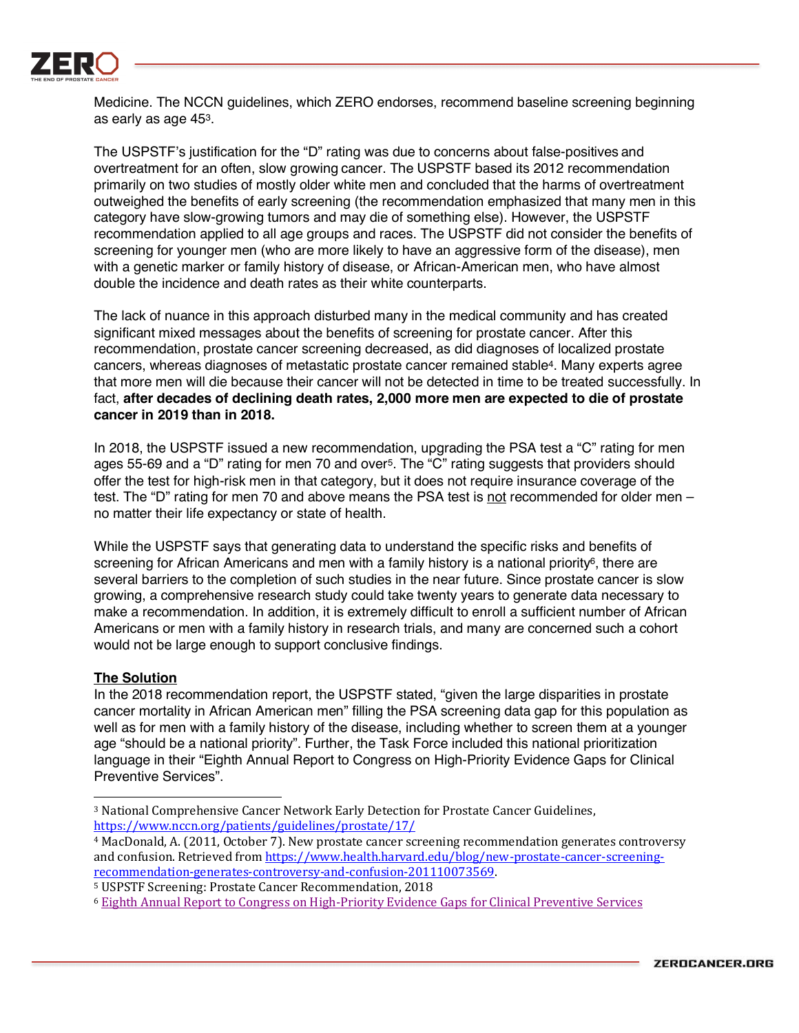

Medicine. The NCCN guidelines, which ZERO endorses, recommend baseline screening beginning as early as age 453.

The USPSTF's justification for the "D" rating was due to concerns about false-positives and overtreatment for an often, slow growing cancer. The USPSTF based its 2012 recommendation primarily on two studies of mostly older white men and concluded that the harms of overtreatment outweighed the benefits of early screening (the recommendation emphasized that many men in this category have slow-growing tumors and may die of something else). However, the USPSTF recommendation applied to all age groups and races. The USPSTF did not consider the benefits of screening for younger men (who are more likely to have an aggressive form of the disease), men with a genetic marker or family history of disease, or African-American men, who have almost double the incidence and death rates as their white counterparts.

The lack of nuance in this approach disturbed many in the medical community and has created significant mixed messages about the benefits of screening for prostate cancer. After this recommendation, prostate cancer screening decreased, as did diagnoses of localized prostate cancers, whereas diagnoses of metastatic prostate cancer remained stable4. Many experts agree that more men will die because their cancer will not be detected in time to be treated successfully. In fact, **after decades of declining death rates, 2,000 more men are expected to die of prostate cancer in 2019 than in 2018.**

In 2018, the USPSTF issued a new recommendation, upgrading the PSA test a "C" rating for men ages 55-69 and a "D" rating for men 70 and over5. The "C" rating suggests that providers should offer the test for high-risk men in that category, but it does not require insurance coverage of the test. The "D" rating for men 70 and above means the PSA test is not recommended for older men no matter their life expectancy or state of health.

While the USPSTF says that generating data to understand the specific risks and benefits of screening for African Americans and men with a family history is a national priority<sup>6</sup>, there are several barriers to the completion of such studies in the near future. Since prostate cancer is slow growing, a comprehensive research study could take twenty years to generate data necessary to make a recommendation. In addition, it is extremely difficult to enroll a sufficient number of African Americans or men with a family history in research trials, and many are concerned such a cohort would not be large enough to support conclusive findings.

#### **The Solution**

<u> 1989 - Johann Stein, fransk politik (d. 1989)</u>

In the 2018 recommendation report, the USPSTF stated, "given the large disparities in prostate cancer mortality in African American men" filling the PSA screening data gap for this population as well as for men with a family history of the disease, including whether to screen them at a younger age "should be a national priority". Further, the Task Force included this national prioritization language in their "Eighth Annual Report to Congress on High-Priority Evidence Gaps for Clinical Preventive Services".

<sup>&</sup>lt;sup>3</sup> National Comprehensive Cancer Network Early Detection for Prostate Cancer Guidelines, https://www.nccn.org/patients/guidelines/prostate/17/

<sup>&</sup>lt;sup>4</sup> MacDonald, A. (2011, October 7). New prostate cancer screening recommendation generates controversy and confusion. Retrieved from https://www.health.harvard.edu/blog/new-prostate-cancer-screeningrecommendation-generates-controversy-and-confusion-201110073569.

<sup>&</sup>lt;sup>5</sup> USPSTF Screening: Prostate Cancer Recommendation, 2018

<sup>&</sup>lt;sup>6</sup> Eighth Annual Report to Congress on High-Priority Evidence Gaps for Clinical Preventive Services